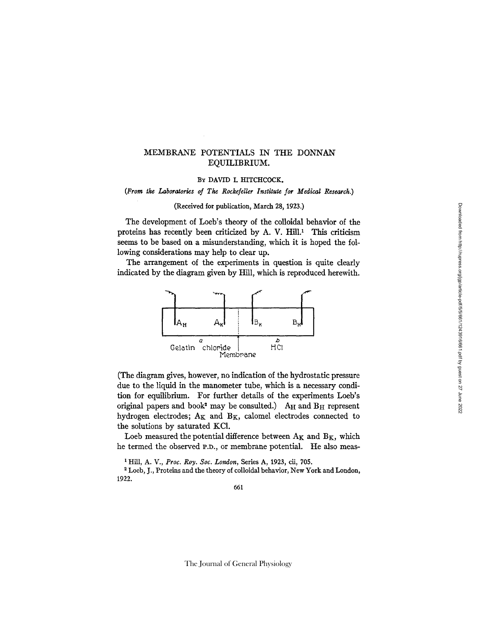## MEMBRANE POTENTIALS IN THE DONNAN EQUILIBRIUM.

## BY DAVID I. HITCHCOCK.

## *(From the Laboratories of The Rockefeller Institute for Medical Researck.)*

## (Received for publication, March *28,* 1923.)

The development of Loeb's theory of the colloidal behavior of the proteins has recently been criticized by A. V. Hill.<sup>1</sup> This criticism seems to be based on a misunderstanding, which it is hoped the following considerations may help to clear up.

The arrangement of the experiments in question is quite dearly indicated by the diagram given by Hill, which is reproduced herewith.



(The diagram gives, however, no indication of the hydrostatic pressure due to the liquid in the manometer tube, which is a necessary condition for equilibrium. For further details of the experiments Loeb's original papers and book<sup>2</sup> may be consulted.) A<sub>H</sub> and B<sub>H</sub> represent hydrogen electrodes;  $A_K$  and  $B_K$ , calomel electrodes connected to the solutions by saturated KC1.

Loeb measured the potential difference between  $A_K$  and  $B_K$ , which he termed the observed P.D., or membrane potential. He also meas-

t Hill, A. V., *Proc. Roy. Soc. London,* Series A, 1923, cii, 705.

2 Loeb, J., Proteins and the theory of colloidal behavior, New York and London, 1922.

The Journal of General Physiology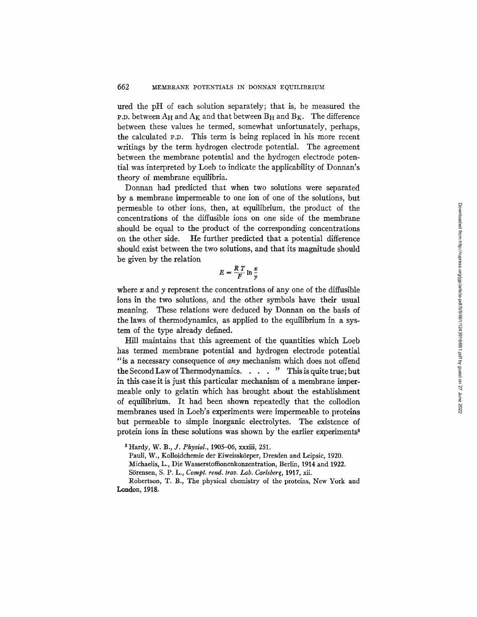ured the pH of each solution separately; that is, he measured the **P.D.** between  $A_H$  and  $A_K$  and that between  $B_H$  and  $B_K$ . The difference between these values he termed, somewhat unfortunately, perhaps, the calculated P.D. This term is being replaced in his more recent writings by the term hydrogen electrode potential. The agreement between the membrane potential and the hydrogen electrode potential was interpreted by Loeb to indicate the applicability of Donnan's theory of membrane equilibria.

Donnan had predicted that when two solutions were separated by a membrane impermeable to one ion of one of the solutions, but permeable to other ions, then, at equilibrium, the product of the concentrations of the diffusible ions on one side of the membrane should be equal to the product of the corresponding concentrations on the other side. He further predicted that a potential difference should exist between the two solutions, and that its magnitude should be given by the relation

$$
E = \frac{R T}{F} \ln \frac{x}{y}
$$

where x and y represent the concentrations of any one of the diffusible ions in the two solutions, and the other symbols have their usual meaning. These relations were deduced by Donnan on the basis of the laws of thermodynamics, as applied to the equilibrium in a system of the type already defined.

Hill maintains that this agreement of the quantities which Loeb has termed membrane potential and hydrogen electrode potential "is a necessary consequence of *any* mechanism which does not offend the Second Law of Thermodynamics.  $\ldots$  "This is quite true; but in this case it is just this particular mechanism of a membrane impermeable only to gelatin which has brought about the establishment of equilibrium. It had been shown repeatedly that the collodion membranes used in Loeb's experiments were impermeable to proteins but permeable to simple inorganic electrolytes. The existence of protein ions in these solutions was shown by the earlier experiments<sup>3</sup>

Pauli, W., Kolloidchemie der Eiweisskörper, Dresden and Leipsic, 1920.

Michaelis, L., Die Wasserstoffionenkonzentration, Berlin, 1914 and 1922.

SSrensen, S. P. L., *Compt. rend. tray. Lab. Carlsberg,* 1917, xii.

Robertson, T. B., The physical chemistry of the proteins, New York and London, 1918.

<sup>3</sup> Hardy, W. B., *J. Physiol.,* 1905-06, xxxiii, 251.